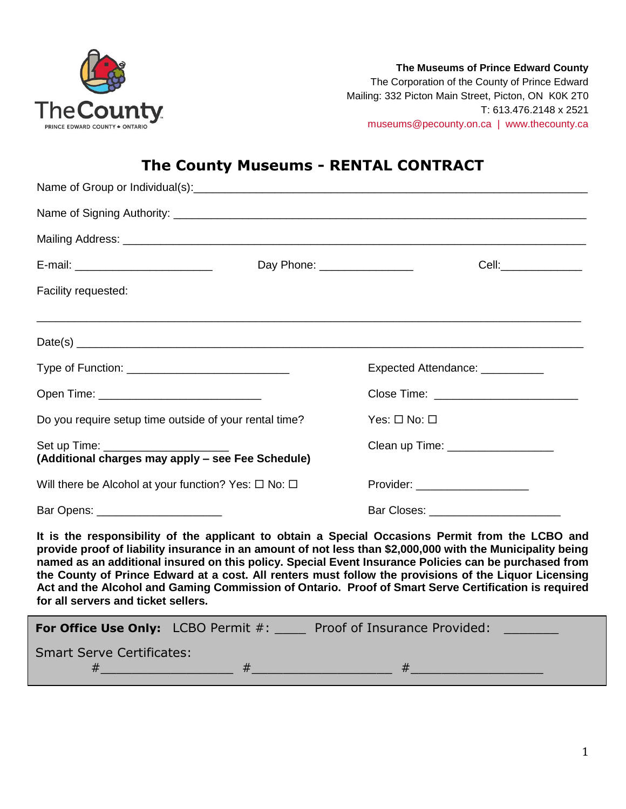

**The Museums of Prince Edward County** The Corporation of the County of Prince Edward Mailing: 332 Picton Main Street, Picton, ON K0K 2T0 T: 613.476.2148 x 2521 [museums@pecounty.on.ca | www.thecounty.ca](mailto:museums@pecounty.on.ca%20%20%7C%20%20www.thecounty.ca)

# **The County Museums - RENTAL CONTRACT**

|                                                                                | Day Phone: _________________ | Cell:________________                                                                                                                                                                                                                                                                                                                                                                                                                                                                                                                    |
|--------------------------------------------------------------------------------|------------------------------|------------------------------------------------------------------------------------------------------------------------------------------------------------------------------------------------------------------------------------------------------------------------------------------------------------------------------------------------------------------------------------------------------------------------------------------------------------------------------------------------------------------------------------------|
| Facility requested:                                                            |                              |                                                                                                                                                                                                                                                                                                                                                                                                                                                                                                                                          |
|                                                                                |                              |                                                                                                                                                                                                                                                                                                                                                                                                                                                                                                                                          |
|                                                                                |                              | Expected Attendance: __________                                                                                                                                                                                                                                                                                                                                                                                                                                                                                                          |
| Open Time: _________________________________                                   |                              |                                                                                                                                                                                                                                                                                                                                                                                                                                                                                                                                          |
| Do you require setup time outside of your rental time?                         |                              | Yes: $\square$ No: $\square$                                                                                                                                                                                                                                                                                                                                                                                                                                                                                                             |
| Set up Time: Set up Time:<br>(Additional charges may apply - see Fee Schedule) |                              | Clean up Time: __________________                                                                                                                                                                                                                                                                                                                                                                                                                                                                                                        |
| Will there be Alcohol at your function? Yes: $\Box$ No: $\Box$                 |                              | Provider: ____________________                                                                                                                                                                                                                                                                                                                                                                                                                                                                                                           |
| Bar Opens: _______________________                                             |                              | Bar Closes: _______________________                                                                                                                                                                                                                                                                                                                                                                                                                                                                                                      |
| for all servers and ticket sellers.                                            |                              | It is the responsibility of the applicant to obtain a Special Occasions Permit from the LCBO and<br>provide proof of liability insurance in an amount of not less than \$2,000,000 with the Municipality being<br>named as an additional insured on this policy. Special Event Insurance Policies can be purchased from<br>the County of Prince Edward at a cost. All renters must follow the provisions of the Liquor Licensing<br>Act and the Alcohol and Gaming Commission of Ontario. Proof of Smart Serve Certification is required |

| <b>For Office Use Only:</b> LCBO Permit #: | Proof of Insurance Provided: |  |
|--------------------------------------------|------------------------------|--|
| <b>Smart Serve Certificates:</b>           |                              |  |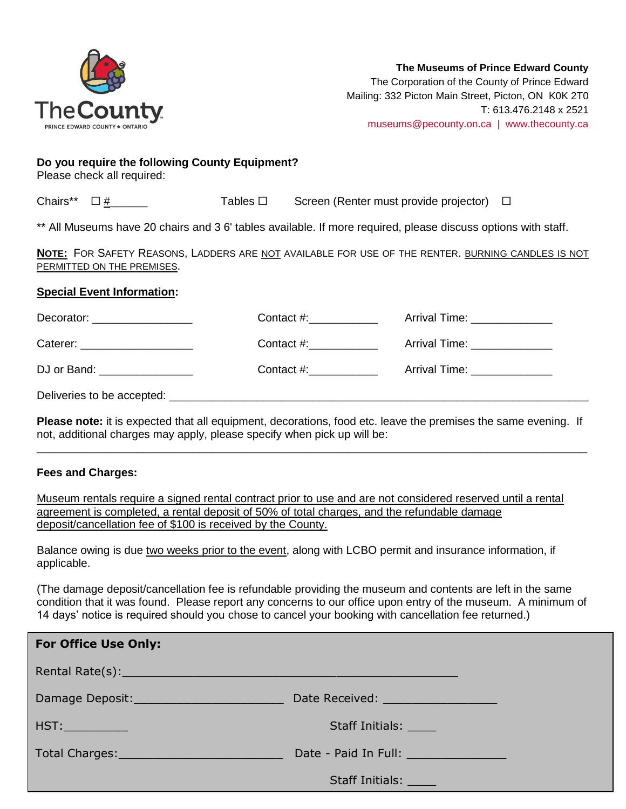

Mailing: 332 Picton Main Street, Picton, ON K0K 2T0 T: 613.476.2148 x 2521 [museums@pecounty.on.ca | www.thecounty.ca](mailto:museums@pecounty.on.ca%20%20%7C%20%20www.thecounty.ca)

#### **Do you require the following County Equipment?**

Please check all required:

| Chairs** $\Box$ # |  | Tables $\Box$ | Screen (Renter must provide projector) □ |  |
|-------------------|--|---------------|------------------------------------------|--|
|-------------------|--|---------------|------------------------------------------|--|

\*\* All Museums have 20 chairs and 3 6' tables available. If more required, please discuss options with staff.

**NOTE:** FOR SAFETY REASONS, LADDERS ARE NOT AVAILABLE FOR USE OF THE RENTER. BURNING CANDLES IS NOT PERMITTED ON THE PREMISES.

### **Special Event Information:**

| Decorator: ___________________ | Contact $\#$ : | Arrival Time: _______________ |
|--------------------------------|----------------|-------------------------------|
| Caterer: _____________________ |                | Arrival Time: _______________ |
| DJ or Band: ________________   | Contact #:     | Arrival Time: ______________  |
|                                |                |                               |

Deliveries to be accepted:

**Please note:** it is expected that all equipment, decorations, food etc. leave the premises the same evening. If not, additional charges may apply, please specify when pick up will be: \_\_\_\_\_\_\_\_\_\_\_\_\_\_\_\_\_\_\_\_\_\_\_\_\_\_\_\_\_\_\_\_\_\_\_\_\_\_\_\_\_\_\_\_\_\_\_\_\_\_\_\_\_\_\_\_\_\_\_\_\_\_\_\_\_\_\_\_\_\_\_\_\_\_\_\_\_\_\_\_\_\_\_\_\_\_\_\_

## **Fees and Charges:**

Museum rentals require a signed rental contract prior to use and are not considered reserved until a rental agreement is completed, a rental deposit of 50% of total charges, and the refundable damage deposit/cancellation fee of \$100 is received by the County.

Balance owing is due two weeks prior to the event, along with LCBO permit and insurance information, if applicable.

(The damage deposit/cancellation fee is refundable providing the museum and contents are left in the same condition that it was found. Please report any concerns to our office upon entry of the museum. A minimum of 14 days' notice is required should you chose to cancel your booking with cancellation fee returned.)

| <b>For Office Use Only:</b>                                                                                                                                                                                                    |                                      |
|--------------------------------------------------------------------------------------------------------------------------------------------------------------------------------------------------------------------------------|--------------------------------------|
|                                                                                                                                                                                                                                |                                      |
| Damage Deposit: Name and Separate Separate Separate Separate Separate Separate Separate Separate Separate Separate Separate Separate Separate Separate Separate Separate Separate Separate Separate Separate Separate Separate | Date Received: __________________    |
| HST:                                                                                                                                                                                                                           | Staff Initials:                      |
| Total Charges: 1999 - 1999 - 1999 - 1999 - 1999 - 1999 - 1999 - 1999 - 1999 - 1999 - 1999 - 1999 - 1999 - 199                                                                                                                  | Date - Paid In Full: _______________ |
|                                                                                                                                                                                                                                | <b>Staff Initials:</b>               |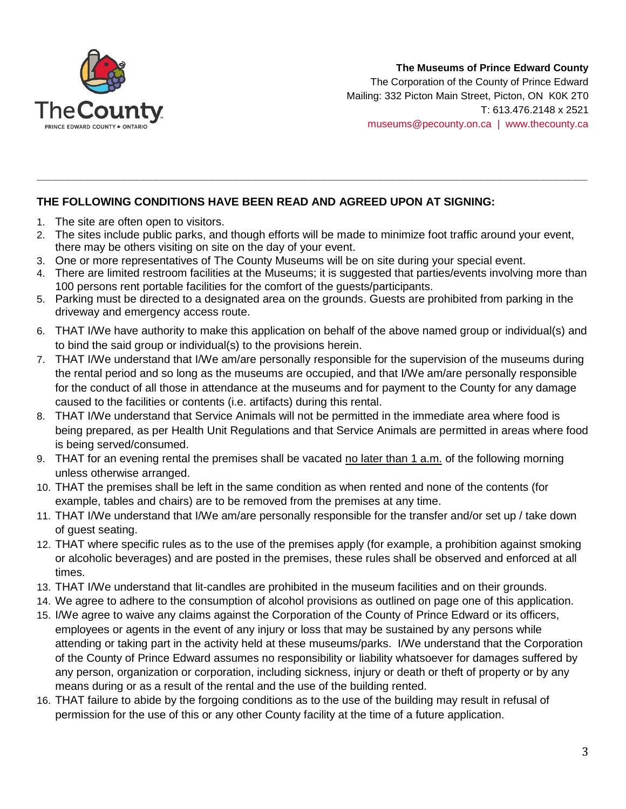

## **The Museums of Prince Edward County**

The Corporation of the County of Prince Edward Mailing: 332 Picton Main Street, Picton, ON K0K 2T0 T: 613.476.2148 x 2521 [museums@pecounty.on.ca | www.thecounty.ca](mailto:museums@pecounty.on.ca%20%20%7C%20%20www.thecounty.ca)

## **THE FOLLOWING CONDITIONS HAVE BEEN READ AND AGREED UPON AT SIGNING:**

- 1. The site are often open to visitors.
- 2. The sites include public parks, and though efforts will be made to minimize foot traffic around your event, there may be others visiting on site on the day of your event.

**\_\_\_\_\_\_\_\_\_\_\_\_\_\_\_\_\_\_\_\_\_\_\_\_\_\_\_\_\_\_\_\_\_\_\_\_\_\_\_\_\_\_\_\_\_\_\_\_\_\_\_\_\_\_\_\_\_\_\_\_\_\_\_\_\_\_\_\_\_\_\_\_\_\_\_\_\_\_\_\_\_\_\_\_\_\_\_\_**

- 3. One or more representatives of The County Museums will be on site during your special event.
- 4. There are limited restroom facilities at the Museums; it is suggested that parties/events involving more than 100 persons rent portable facilities for the comfort of the guests/participants.
- 5. Parking must be directed to a designated area on the grounds. Guests are prohibited from parking in the driveway and emergency access route.
- 6. THAT I/We have authority to make this application on behalf of the above named group or individual(s) and to bind the said group or individual(s) to the provisions herein.
- 7. THAT I/We understand that I/We am/are personally responsible for the supervision of the museums during the rental period and so long as the museums are occupied, and that I/We am/are personally responsible for the conduct of all those in attendance at the museums and for payment to the County for any damage caused to the facilities or contents (i.e. artifacts) during this rental.
- 8. THAT I/We understand that Service Animals will not be permitted in the immediate area where food is being prepared, as per Health Unit Regulations and that Service Animals are permitted in areas where food is being served/consumed.
- 9. THAT for an evening rental the premises shall be vacated no later than 1 a.m. of the following morning unless otherwise arranged.
- 10. THAT the premises shall be left in the same condition as when rented and none of the contents (for example, tables and chairs) are to be removed from the premises at any time.
- 11. THAT I/We understand that I/We am/are personally responsible for the transfer and/or set up / take down of guest seating.
- 12. THAT where specific rules as to the use of the premises apply (for example, a prohibition against smoking or alcoholic beverages) and are posted in the premises, these rules shall be observed and enforced at all times.
- 13. THAT I/We understand that lit-candles are prohibited in the museum facilities and on their grounds.
- 14. We agree to adhere to the consumption of alcohol provisions as outlined on page one of this application.
- 15. I/We agree to waive any claims against the Corporation of the County of Prince Edward or its officers, employees or agents in the event of any injury or loss that may be sustained by any persons while attending or taking part in the activity held at these museums/parks. I/We understand that the Corporation of the County of Prince Edward assumes no responsibility or liability whatsoever for damages suffered by any person, organization or corporation, including sickness, injury or death or theft of property or by any means during or as a result of the rental and the use of the building rented.
- 16. THAT failure to abide by the forgoing conditions as to the use of the building may result in refusal of permission for the use of this or any other County facility at the time of a future application.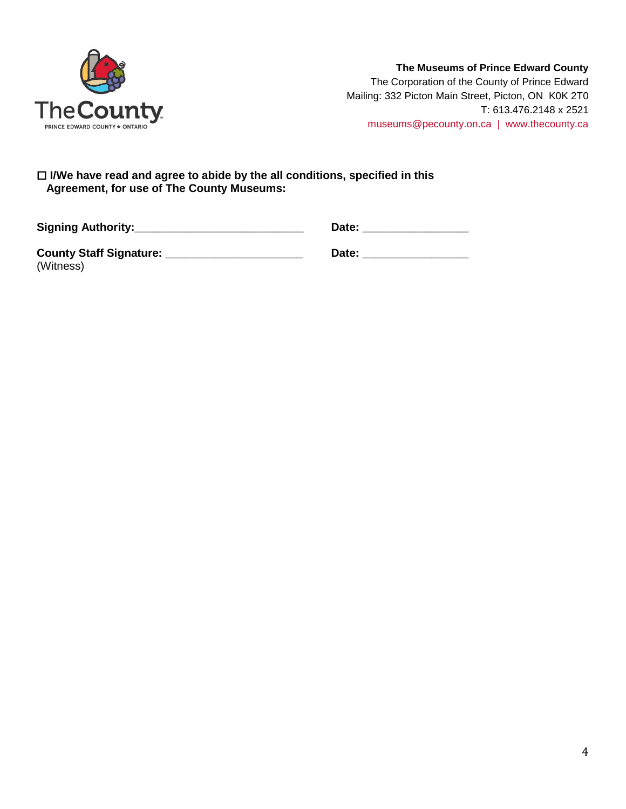

## **The Museums of Prince Edward County** The Corporation of the County of Prince Edward Mailing: 332 Picton Main Street, Picton, ON K0K 2T0 T: 613.476.2148 x 2521

[museums@pecounty.on.ca | www.thecounty.ca](mailto:museums@pecounty.on.ca%20%20%7C%20%20www.thecounty.ca)

 **I/We have read and agree to abide by the all conditions, specified in this Agreement, for use of The County Museums:**

| <b>Signing Authority:_</b>                  | Date: |
|---------------------------------------------|-------|
| <b>County Staff Signature:</b><br>(Witness) | Date: |